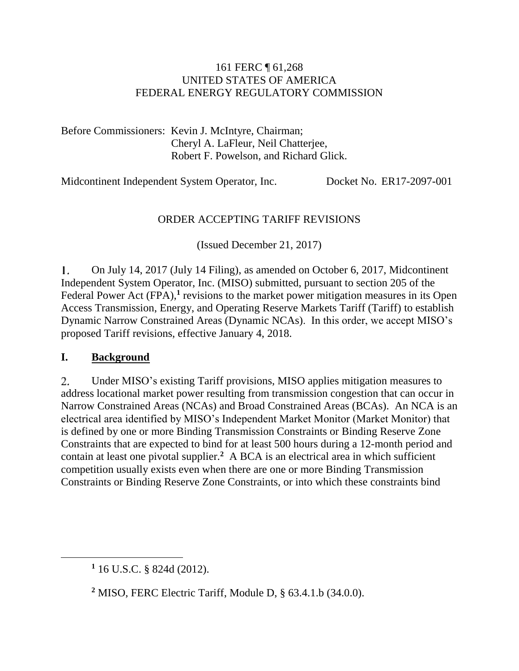#### 161 FERC ¶ 61,268 UNITED STATES OF AMERICA FEDERAL ENERGY REGULATORY COMMISSION

Before Commissioners: Kevin J. McIntyre, Chairman; Cheryl A. LaFleur, Neil Chatterjee, Robert F. Powelson, and Richard Glick.

Midcontinent Independent System Operator, Inc. Docket No. ER17-2097-001

#### ORDER ACCEPTING TARIFF REVISIONS

(Issued December 21, 2017)

L. On July 14, 2017 (July 14 Filing), as amended on October 6, 2017, Midcontinent Independent System Operator, Inc. (MISO) submitted, pursuant to section 205 of the Federal Power Act (FPA),<sup>1</sup> revisions to the market power mitigation measures in its Open Access Transmission, Energy, and Operating Reserve Markets Tariff (Tariff) to establish Dynamic Narrow Constrained Areas (Dynamic NCAs). In this order, we accept MISO's proposed Tariff revisions, effective January 4, 2018.

#### **I. Background**

 $\overline{a}$ 

2. Under MISO's existing Tariff provisions, MISO applies mitigation measures to address locational market power resulting from transmission congestion that can occur in Narrow Constrained Areas (NCAs) and Broad Constrained Areas (BCAs). An NCA is an electrical area identified by MISO's Independent Market Monitor (Market Monitor) that is defined by one or more Binding Transmission Constraints or Binding Reserve Zone Constraints that are expected to bind for at least 500 hours during a 12-month period and contain at least one pivotal supplier.<sup>2</sup> A BCA is an electrical area in which sufficient competition usually exists even when there are one or more Binding Transmission Constraints or Binding Reserve Zone Constraints, or into which these constraints bind

**<sup>1</sup>** 16 U.S.C. § 824d (2012).

**<sup>2</sup>** MISO, FERC Electric Tariff, Module D, § 63.4.1.b (34.0.0).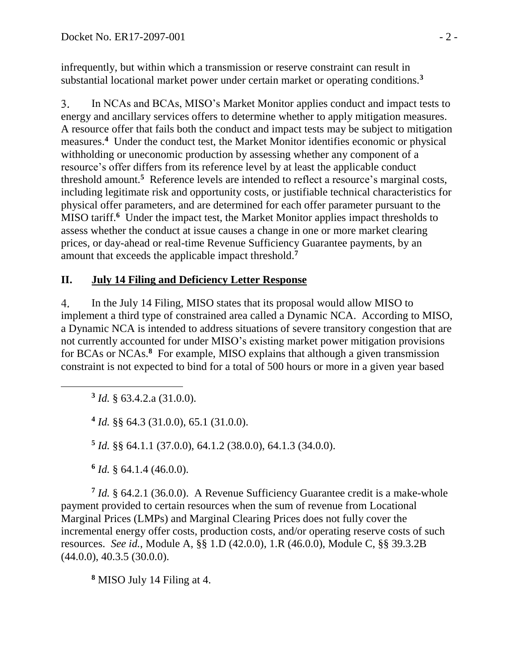infrequently, but within which a transmission or reserve constraint can result in substantial locational market power under certain market or operating conditions.**<sup>3</sup>**

3. In NCAs and BCAs, MISO's Market Monitor applies conduct and impact tests to energy and ancillary services offers to determine whether to apply mitigation measures. A resource offer that fails both the conduct and impact tests may be subject to mitigation measures.<sup>4</sup> Under the conduct test, the Market Monitor identifies economic or physical withholding or uneconomic production by assessing whether any component of a resource's offer differs from its reference level by at least the applicable conduct threshold amount.**<sup>5</sup>** Reference levels are intended to reflect a resource's marginal costs, including legitimate risk and opportunity costs, or justifiable technical characteristics for physical offer parameters, and are determined for each offer parameter pursuant to the MISO tariff.<sup>6</sup> Under the impact test, the Market Monitor applies impact thresholds to assess whether the conduct at issue causes a change in one or more market clearing prices, or day-ahead or real-time Revenue Sufficiency Guarantee payments, by an amount that exceeds the applicable impact threshold. **7**

### **II. July 14 Filing and Deficiency Letter Response**

4. In the July 14 Filing, MISO states that its proposal would allow MISO to implement a third type of constrained area called a Dynamic NCA. According to MISO, a Dynamic NCA is intended to address situations of severe transitory congestion that are not currently accounted for under MISO's existing market power mitigation provisions for BCAs or NCAs. **8** For example, MISO explains that although a given transmission constraint is not expected to bind for a total of 500 hours or more in a given year based

**3** *Id.* § 63.4.2.a (31.0.0).

**4** *Id.* §§ 64.3 (31.0.0), 65.1 (31.0.0).

**5** *Id.* §§ 64.1.1 (37.0.0), 64.1.2 (38.0.0), 64.1.3 (34.0.0).

**6** *Id.* § 64.1.4 (46.0.0).

**7** *Id.* § 64.2.1 (36.0.0). A Revenue Sufficiency Guarantee credit is a make-whole payment provided to certain resources when the sum of revenue from Locational Marginal Prices (LMPs) and Marginal Clearing Prices does not fully cover the incremental energy offer costs, production costs, and/or operating reserve costs of such resources. *See id.*, Module A, §§ 1.D (42.0.0), 1.R (46.0.0), Module C, §§ 39.3.2B  $(44.0.0), 40.3.5 (30.0.0).$ 

**<sup>8</sup>** MISO July 14 Filing at 4.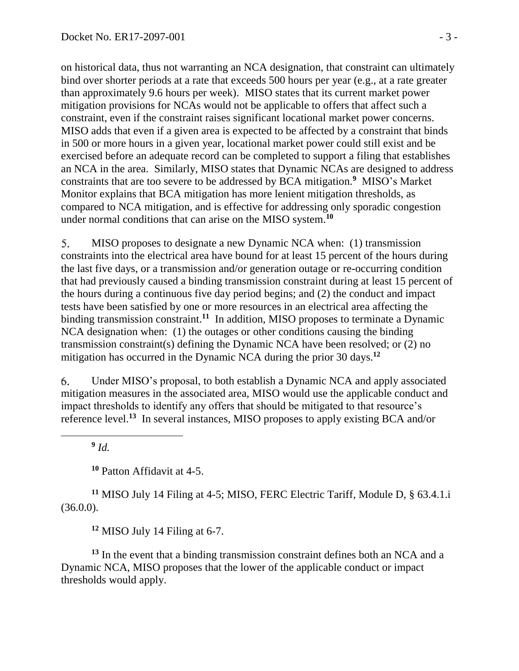on historical data, thus not warranting an NCA designation, that constraint can ultimately bind over shorter periods at a rate that exceeds 500 hours per year (e.g., at a rate greater than approximately 9.6 hours per week). MISO states that its current market power mitigation provisions for NCAs would not be applicable to offers that affect such a constraint, even if the constraint raises significant locational market power concerns. MISO adds that even if a given area is expected to be affected by a constraint that binds in 500 or more hours in a given year, locational market power could still exist and be exercised before an adequate record can be completed to support a filing that establishes an NCA in the area. Similarly, MISO states that Dynamic NCAs are designed to address constraints that are too severe to be addressed by BCA mitigation. **9** MISO's Market Monitor explains that BCA mitigation has more lenient mitigation thresholds, as compared to NCA mitigation, and is effective for addressing only sporadic congestion under normal conditions that can arise on the MISO system. **10**

5. MISO proposes to designate a new Dynamic NCA when: (1) transmission constraints into the electrical area have bound for at least 15 percent of the hours during the last five days, or a transmission and/or generation outage or re-occurring condition that had previously caused a binding transmission constraint during at least 15 percent of the hours during a continuous five day period begins; and (2) the conduct and impact tests have been satisfied by one or more resources in an electrical area affecting the binding transmission constraint.<sup>11</sup> In addition, MISO proposes to terminate a Dynamic NCA designation when: (1) the outages or other conditions causing the binding transmission constraint(s) defining the Dynamic NCA have been resolved; or (2) no mitigation has occurred in the Dynamic NCA during the prior 30 days.**<sup>12</sup>**

6. Under MISO's proposal, to both establish a Dynamic NCA and apply associated mitigation measures in the associated area, MISO would use the applicable conduct and impact thresholds to identify any offers that should be mitigated to that resource's reference level.**<sup>13</sup>** In several instances, MISO proposes to apply existing BCA and/or

**9** *Id.*

 $\overline{a}$ 

**<sup>10</sup>** Patton Affidavit at 4-5.

**<sup>11</sup>** MISO July 14 Filing at 4-5; MISO, FERC Electric Tariff, Module D, § 63.4.1.i (36.0.0).

**<sup>12</sup>** MISO July 14 Filing at 6-7.

**<sup>13</sup>** In the event that a binding transmission constraint defines both an NCA and a Dynamic NCA, MISO proposes that the lower of the applicable conduct or impact thresholds would apply.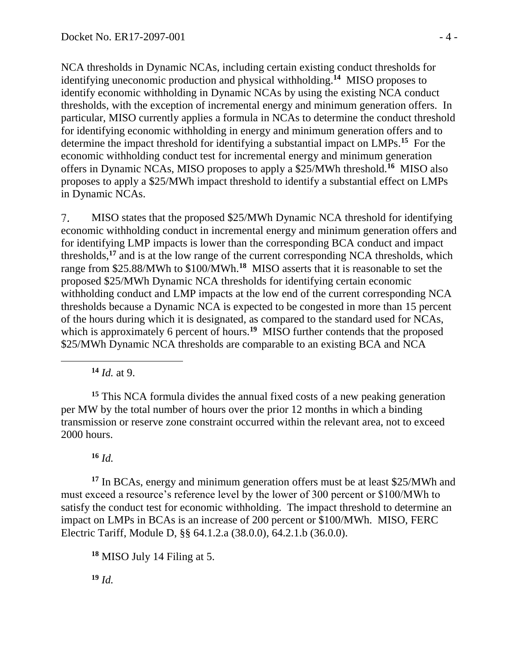NCA thresholds in Dynamic NCAs, including certain existing conduct thresholds for identifying uneconomic production and physical withholding. **<sup>14</sup>** MISO proposes to identify economic withholding in Dynamic NCAs by using the existing NCA conduct thresholds, with the exception of incremental energy and minimum generation offers. In particular, MISO currently applies a formula in NCAs to determine the conduct threshold for identifying economic withholding in energy and minimum generation offers and to determine the impact threshold for identifying a substantial impact on LMPs. **<sup>15</sup>** For the economic withholding conduct test for incremental energy and minimum generation offers in Dynamic NCAs, MISO proposes to apply a \$25/MWh threshold. **<sup>16</sup>** MISO also proposes to apply a \$25/MWh impact threshold to identify a substantial effect on LMPs in Dynamic NCAs.

MISO states that the proposed \$25/MWh Dynamic NCA threshold for identifying 7. economic withholding conduct in incremental energy and minimum generation offers and for identifying LMP impacts is lower than the corresponding BCA conduct and impact thresholds, **<sup>17</sup>** and is at the low range of the current corresponding NCA thresholds, which range from \$25.88/MWh to \$100/MWh.**<sup>18</sup>** MISO asserts that it is reasonable to set the proposed \$25/MWh Dynamic NCA thresholds for identifying certain economic withholding conduct and LMP impacts at the low end of the current corresponding NCA thresholds because a Dynamic NCA is expected to be congested in more than 15 percent of the hours during which it is designated, as compared to the standard used for NCAs, which is approximately 6 percent of hours.<sup>19</sup> MISO further contends that the proposed \$25/MWh Dynamic NCA thresholds are comparable to an existing BCA and NCA

**<sup>14</sup>** *Id.* at 9.

**<sup>15</sup>** This NCA formula divides the annual fixed costs of a new peaking generation per MW by the total number of hours over the prior 12 months in which a binding transmission or reserve zone constraint occurred within the relevant area, not to exceed 2000 hours.

### **<sup>16</sup>** *Id.*

**<sup>17</sup>** In BCAs, energy and minimum generation offers must be at least \$25/MWh and must exceed a resource's reference level by the lower of 300 percent or \$100/MWh to satisfy the conduct test for economic withholding. The impact threshold to determine an impact on LMPs in BCAs is an increase of 200 percent or \$100/MWh. MISO, FERC Electric Tariff, Module D, §§ 64.1.2.a (38.0.0), 64.2.1.b (36.0.0).

**<sup>18</sup>** MISO July 14 Filing at 5.

**<sup>19</sup>** *Id.*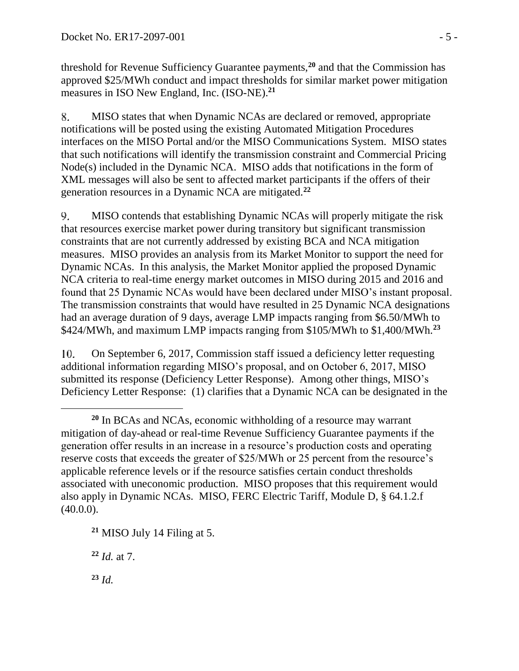threshold for Revenue Sufficiency Guarantee payments,**<sup>20</sup>** and that the Commission has approved \$25/MWh conduct and impact thresholds for similar market power mitigation measures in ISO New England, Inc. (ISO-NE).**<sup>21</sup>**

8. MISO states that when Dynamic NCAs are declared or removed, appropriate notifications will be posted using the existing Automated Mitigation Procedures interfaces on the MISO Portal and/or the MISO Communications System. MISO states that such notifications will identify the transmission constraint and Commercial Pricing Node(s) included in the Dynamic NCA. MISO adds that notifications in the form of XML messages will also be sent to affected market participants if the offers of their generation resources in a Dynamic NCA are mitigated.**<sup>22</sup>**

9. MISO contends that establishing Dynamic NCAs will properly mitigate the risk that resources exercise market power during transitory but significant transmission constraints that are not currently addressed by existing BCA and NCA mitigation measures. MISO provides an analysis from its Market Monitor to support the need for Dynamic NCAs. In this analysis, the Market Monitor applied the proposed Dynamic NCA criteria to real-time energy market outcomes in MISO during 2015 and 2016 and found that 25 Dynamic NCAs would have been declared under MISO's instant proposal. The transmission constraints that would have resulted in 25 Dynamic NCA designations had an average duration of 9 days, average LMP impacts ranging from \$6.50/MWh to \$424/MWh, and maximum LMP impacts ranging from \$105/MWh to \$1,400/MWh.**<sup>23</sup>**

10. On September 6, 2017, Commission staff issued a deficiency letter requesting additional information regarding MISO's proposal, and on October 6, 2017, MISO submitted its response (Deficiency Letter Response). Among other things, MISO's Deficiency Letter Response: (1) clarifies that a Dynamic NCA can be designated in the

**<sup>21</sup>** MISO July 14 Filing at 5.

**<sup>22</sup>** *Id.* at 7.

**<sup>23</sup>** *Id.*

**<sup>20</sup>** In BCAs and NCAs, economic withholding of a resource may warrant mitigation of day-ahead or real-time Revenue Sufficiency Guarantee payments if the generation offer results in an increase in a resource's production costs and operating reserve costs that exceeds the greater of \$25/MWh or 25 percent from the resource's applicable reference levels or if the resource satisfies certain conduct thresholds associated with uneconomic production. MISO proposes that this requirement would also apply in Dynamic NCAs. MISO, FERC Electric Tariff, Module D, § 64.1.2.f  $(40.0.0)$ .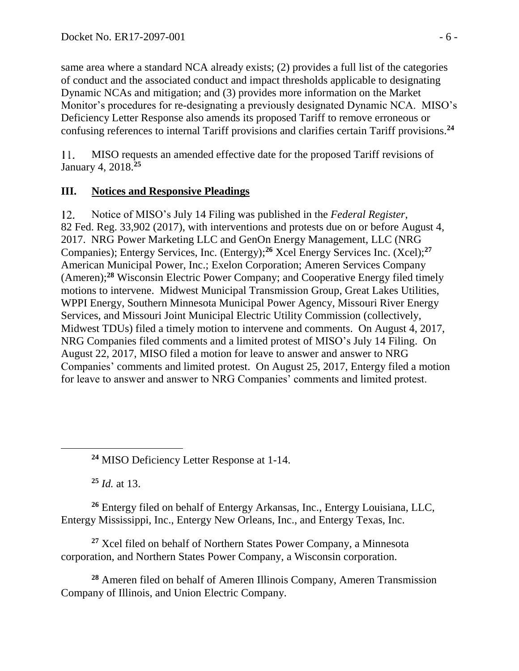same area where a standard NCA already exists; (2) provides a full list of the categories of conduct and the associated conduct and impact thresholds applicable to designating Dynamic NCAs and mitigation; and (3) provides more information on the Market Monitor's procedures for re-designating a previously designated Dynamic NCA. MISO's Deficiency Letter Response also amends its proposed Tariff to remove erroneous or confusing references to internal Tariff provisions and clarifies certain Tariff provisions.**<sup>24</sup>**

MISO requests an amended effective date for the proposed Tariff revisions of  $11.$ January 4, 2018.**<sup>25</sup>**

### **III. Notices and Responsive Pleadings**

 $12.$ Notice of MISO's July 14 Filing was published in the *Federal Register*, 82 Fed. Reg. 33,902 (2017), with interventions and protests due on or before August 4, 2017. NRG Power Marketing LLC and GenOn Energy Management, LLC (NRG Companies); Entergy Services, Inc. (Entergy); **<sup>26</sup>** Xcel Energy Services Inc. (Xcel);**<sup>27</sup>** American Municipal Power, Inc.; Exelon Corporation; Ameren Services Company (Ameren);**<sup>28</sup>** Wisconsin Electric Power Company; and Cooperative Energy filed timely motions to intervene. Midwest Municipal Transmission Group, Great Lakes Utilities, WPPI Energy, Southern Minnesota Municipal Power Agency, Missouri River Energy Services, and Missouri Joint Municipal Electric Utility Commission (collectively, Midwest TDUs) filed a timely motion to intervene and comments. On August 4, 2017, NRG Companies filed comments and a limited protest of MISO's July 14 Filing. On August 22, 2017, MISO filed a motion for leave to answer and answer to NRG Companies' comments and limited protest. On August 25, 2017, Entergy filed a motion for leave to answer and answer to NRG Companies' comments and limited protest.

**<sup>24</sup>** MISO Deficiency Letter Response at 1-14.

**<sup>25</sup>** *Id.* at 13.

**<sup>26</sup>** Entergy filed on behalf of Entergy Arkansas, Inc., Entergy Louisiana, LLC, Entergy Mississippi, Inc., Entergy New Orleans, Inc., and Entergy Texas, Inc.

**<sup>27</sup>** Xcel filed on behalf of Northern States Power Company, a Minnesota corporation, and Northern States Power Company, a Wisconsin corporation.

**<sup>28</sup>** Ameren filed on behalf of Ameren Illinois Company, Ameren Transmission Company of Illinois, and Union Electric Company.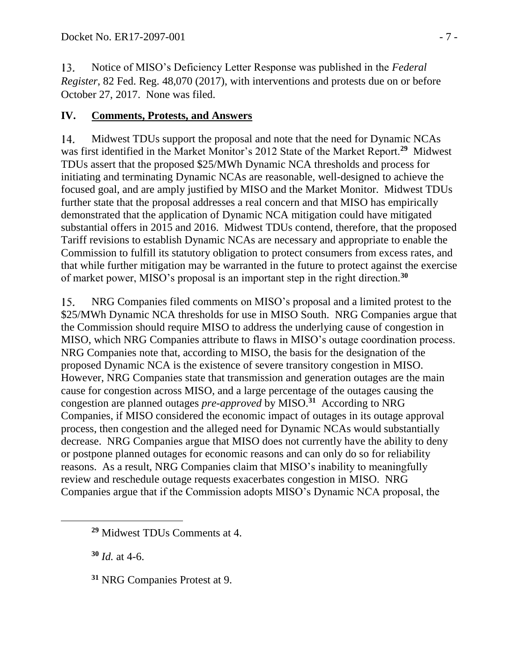Notice of MISO's Deficiency Letter Response was published in the *Federal*  13. *Register*, 82 Fed. Reg. 48,070 (2017), with interventions and protests due on or before October 27, 2017. None was filed.

# **IV. Comments, Protests, and Answers**

Midwest TDUs support the proposal and note that the need for Dynamic NCAs  $14.$ was first identified in the Market Monitor's 2012 State of the Market Report.**<sup>29</sup>** Midwest TDUs assert that the proposed \$25/MWh Dynamic NCA thresholds and process for initiating and terminating Dynamic NCAs are reasonable, well-designed to achieve the focused goal, and are amply justified by MISO and the Market Monitor. Midwest TDUs further state that the proposal addresses a real concern and that MISO has empirically demonstrated that the application of Dynamic NCA mitigation could have mitigated substantial offers in 2015 and 2016. Midwest TDUs contend, therefore, that the proposed Tariff revisions to establish Dynamic NCAs are necessary and appropriate to enable the Commission to fulfill its statutory obligation to protect consumers from excess rates, and that while further mitigation may be warranted in the future to protect against the exercise of market power, MISO's proposal is an important step in the right direction.**<sup>30</sup>**

15. NRG Companies filed comments on MISO's proposal and a limited protest to the \$25/MWh Dynamic NCA thresholds for use in MISO South. NRG Companies argue that the Commission should require MISO to address the underlying cause of congestion in MISO, which NRG Companies attribute to flaws in MISO's outage coordination process. NRG Companies note that, according to MISO, the basis for the designation of the proposed Dynamic NCA is the existence of severe transitory congestion in MISO. However, NRG Companies state that transmission and generation outages are the main cause for congestion across MISO, and a large percentage of the outages causing the congestion are planned outages *pre-approved* by MISO.**<sup>31</sup>** According to NRG Companies, if MISO considered the economic impact of outages in its outage approval process, then congestion and the alleged need for Dynamic NCAs would substantially decrease. NRG Companies argue that MISO does not currently have the ability to deny or postpone planned outages for economic reasons and can only do so for reliability reasons. As a result, NRG Companies claim that MISO's inability to meaningfully review and reschedule outage requests exacerbates congestion in MISO. NRG Companies argue that if the Commission adopts MISO's Dynamic NCA proposal, the

**<sup>30</sup>** *Id.* at 4-6.

**<sup>31</sup>** NRG Companies Protest at 9.

**<sup>29</sup>** Midwest TDUs Comments at 4.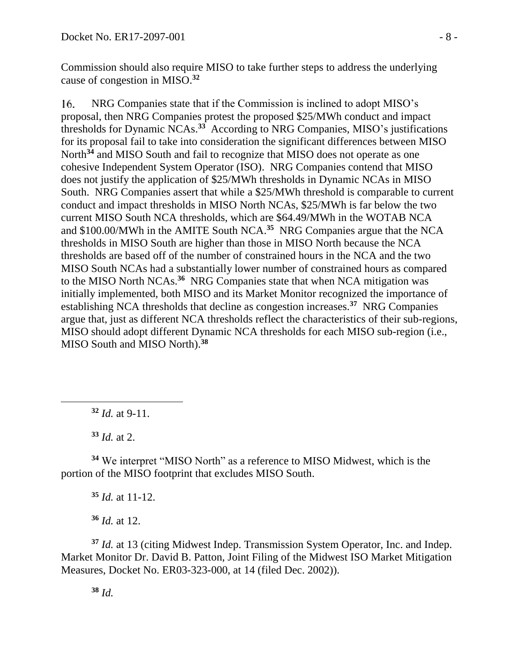Commission should also require MISO to take further steps to address the underlying cause of congestion in MISO. **32**

NRG Companies state that if the Commission is inclined to adopt MISO's 16. proposal, then NRG Companies protest the proposed \$25/MWh conduct and impact thresholds for Dynamic NCAs. **33** According to NRG Companies, MISO's justifications for its proposal fail to take into consideration the significant differences between MISO North<sup>34</sup> and MISO South and fail to recognize that MISO does not operate as one cohesive Independent System Operator (ISO). NRG Companies contend that MISO does not justify the application of \$25/MWh thresholds in Dynamic NCAs in MISO South. NRG Companies assert that while a \$25/MWh threshold is comparable to current conduct and impact thresholds in MISO North NCAs, \$25/MWh is far below the two current MISO South NCA thresholds, which are \$64.49/MWh in the WOTAB NCA and \$100.00/MWh in the AMITE South NCA. **<sup>35</sup>** NRG Companies argue that the NCA thresholds in MISO South are higher than those in MISO North because the NCA thresholds are based off of the number of constrained hours in the NCA and the two MISO South NCAs had a substantially lower number of constrained hours as compared to the MISO North NCAs.<sup>36</sup> NRG Companies state that when NCA mitigation was initially implemented, both MISO and its Market Monitor recognized the importance of establishing NCA thresholds that decline as congestion increases.**<sup>37</sup>** NRG Companies argue that, just as different NCA thresholds reflect the characteristics of their sub-regions, MISO should adopt different Dynamic NCA thresholds for each MISO sub-region (i.e., MISO South and MISO North). **38**

**<sup>32</sup>** *Id.* at 9-11.

**<sup>33</sup>** *Id.* at 2.

 $\overline{a}$ 

**<sup>34</sup>** We interpret "MISO North" as a reference to MISO Midwest, which is the portion of the MISO footprint that excludes MISO South.

**<sup>35</sup>** *Id.* at 11-12.

**<sup>36</sup>** *Id.* at 12.

**<sup>37</sup>** *Id.* at 13 (citing Midwest Indep. Transmission System Operator, Inc. and Indep. Market Monitor Dr. David B. Patton, Joint Filing of the Midwest ISO Market Mitigation Measures, Docket No. ER03-323-000, at 14 (filed Dec. 2002)).

**<sup>38</sup>** *Id.*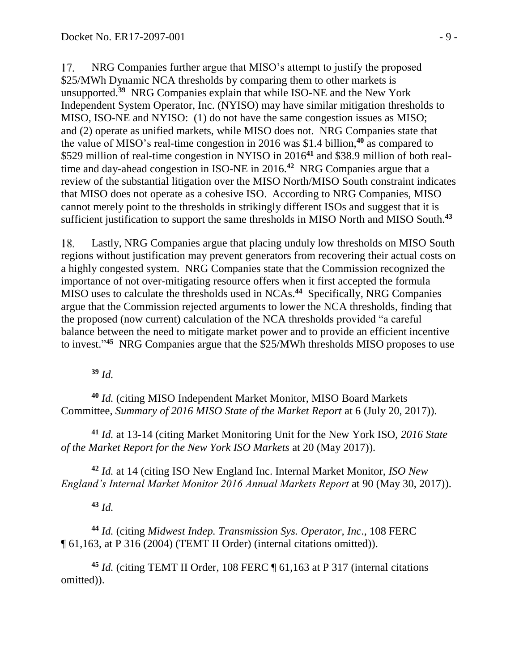17. NRG Companies further argue that MISO's attempt to justify the proposed \$25/MWh Dynamic NCA thresholds by comparing them to other markets is unsupported.**<sup>39</sup>** NRG Companies explain that while ISO-NE and the New York Independent System Operator, Inc. (NYISO) may have similar mitigation thresholds to MISO, ISO-NE and NYISO: (1) do not have the same congestion issues as MISO; and (2) operate as unified markets, while MISO does not. NRG Companies state that the value of MISO's real-time congestion in 2016 was \$1.4 billion,**<sup>40</sup>** as compared to \$529 million of real-time congestion in NYISO in 2016**<sup>41</sup>** and \$38.9 million of both realtime and day-ahead congestion in ISO-NE in 2016.**<sup>42</sup>** NRG Companies argue that a review of the substantial litigation over the MISO North/MISO South constraint indicates that MISO does not operate as a cohesive ISO. According to NRG Companies, MISO cannot merely point to the thresholds in strikingly different ISOs and suggest that it is sufficient justification to support the same thresholds in MISO North and MISO South. **43**

Lastly, NRG Companies argue that placing unduly low thresholds on MISO South 18. regions without justification may prevent generators from recovering their actual costs on a highly congested system. NRG Companies state that the Commission recognized the importance of not over-mitigating resource offers when it first accepted the formula MISO uses to calculate the thresholds used in NCAs.**<sup>44</sup>** Specifically, NRG Companies argue that the Commission rejected arguments to lower the NCA thresholds, finding that the proposed (now current) calculation of the NCA thresholds provided "a careful balance between the need to mitigate market power and to provide an efficient incentive to invest."<sup>45</sup> NRG Companies argue that the \$25/MWh thresholds MISO proposes to use

**<sup>39</sup>** *Id.*

 $\overline{a}$ 

**<sup>40</sup>** *Id.* (citing MISO Independent Market Monitor, MISO Board Markets Committee, *Summary of 2016 MISO State of the Market Report* at 6 (July 20, 2017)).

**<sup>41</sup>** *Id.* at 13-14 (citing Market Monitoring Unit for the New York ISO, *2016 State of the Market Report for the New York ISO Markets* at 20 (May 2017)).

**<sup>42</sup>** *Id.* at 14 (citing ISO New England Inc. Internal Market Monitor, *ISO New England's Internal Market Monitor 2016 Annual Markets Report* at 90 (May 30, 2017)).

**<sup>43</sup>** *Id.*

**<sup>44</sup>** *Id.* (citing *Midwest Indep. Transmission Sys. Operator, Inc*., 108 FERC ¶ 61,163, at P 316 (2004) (TEMT II Order) (internal citations omitted)).

**<sup>45</sup>** *Id.* (citing TEMT II Order, 108 FERC ¶ 61,163 at P 317 (internal citations omitted)).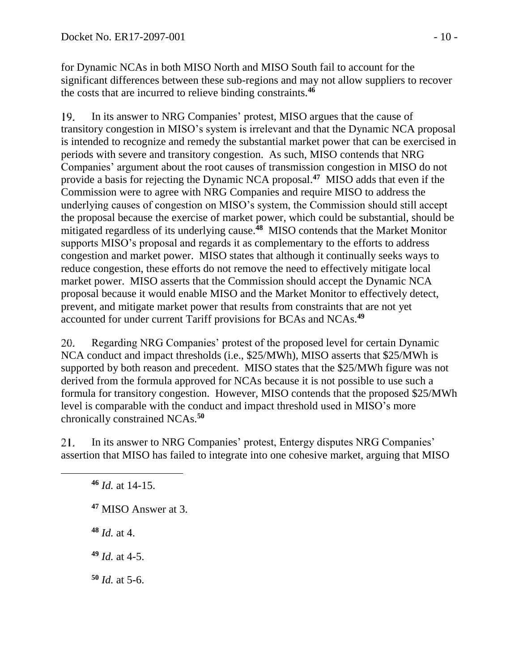for Dynamic NCAs in both MISO North and MISO South fail to account for the significant differences between these sub-regions and may not allow suppliers to recover the costs that are incurred to relieve binding constraints.**<sup>46</sup>**

19. In its answer to NRG Companies' protest, MISO argues that the cause of transitory congestion in MISO's system is irrelevant and that the Dynamic NCA proposal is intended to recognize and remedy the substantial market power that can be exercised in periods with severe and transitory congestion. As such, MISO contends that NRG Companies' argument about the root causes of transmission congestion in MISO do not provide a basis for rejecting the Dynamic NCA proposal. **47** MISO adds that even if the Commission were to agree with NRG Companies and require MISO to address the underlying causes of congestion on MISO's system, the Commission should still accept the proposal because the exercise of market power, which could be substantial, should be mitigated regardless of its underlying cause.**<sup>48</sup>** MISO contends that the Market Monitor supports MISO's proposal and regards it as complementary to the efforts to address congestion and market power. MISO states that although it continually seeks ways to reduce congestion, these efforts do not remove the need to effectively mitigate local market power. MISO asserts that the Commission should accept the Dynamic NCA proposal because it would enable MISO and the Market Monitor to effectively detect, prevent, and mitigate market power that results from constraints that are not yet accounted for under current Tariff provisions for BCAs and NCAs. **49**

20. Regarding NRG Companies' protest of the proposed level for certain Dynamic NCA conduct and impact thresholds (i.e., \$25/MWh), MISO asserts that \$25/MWh is supported by both reason and precedent. MISO states that the \$25/MWh figure was not derived from the formula approved for NCAs because it is not possible to use such a formula for transitory congestion. However, MISO contends that the proposed \$25/MWh level is comparable with the conduct and impact threshold used in MISO's more chronically constrained NCAs. **50**

In its answer to NRG Companies' protest, Entergy disputes NRG Companies' 21. assertion that MISO has failed to integrate into one cohesive market, arguing that MISO

- **<sup>47</sup>** MISO Answer at 3.
- **<sup>48</sup>** *Id.* at 4.

 $\overline{a}$ 

- **<sup>49</sup>** *Id.* at 4-5.
- **<sup>50</sup>** *Id.* at 5-6.

**<sup>46</sup>** *Id.* at 14-15.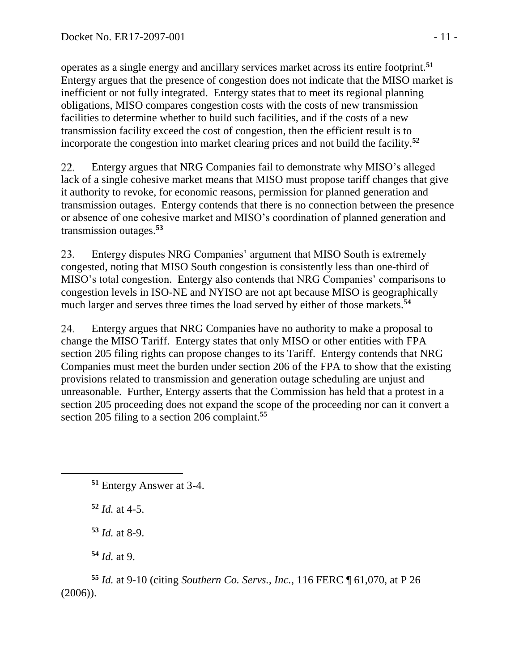operates as a single energy and ancillary services market across its entire footprint.**<sup>51</sup>** Entergy argues that the presence of congestion does not indicate that the MISO market is inefficient or not fully integrated. Entergy states that to meet its regional planning obligations, MISO compares congestion costs with the costs of new transmission facilities to determine whether to build such facilities, and if the costs of a new transmission facility exceed the cost of congestion, then the efficient result is to incorporate the congestion into market clearing prices and not build the facility.**<sup>52</sup>**

22. Entergy argues that NRG Companies fail to demonstrate why MISO's alleged lack of a single cohesive market means that MISO must propose tariff changes that give it authority to revoke, for economic reasons, permission for planned generation and transmission outages. Entergy contends that there is no connection between the presence or absence of one cohesive market and MISO's coordination of planned generation and transmission outages.**<sup>53</sup>**

23. Entergy disputes NRG Companies' argument that MISO South is extremely congested, noting that MISO South congestion is consistently less than one-third of MISO's total congestion. Entergy also contends that NRG Companies' comparisons to congestion levels in ISO-NE and NYISO are not apt because MISO is geographically much larger and serves three times the load served by either of those markets. **54**

24. Entergy argues that NRG Companies have no authority to make a proposal to change the MISO Tariff. Entergy states that only MISO or other entities with FPA section 205 filing rights can propose changes to its Tariff. Entergy contends that NRG Companies must meet the burden under section 206 of the FPA to show that the existing provisions related to transmission and generation outage scheduling are unjust and unreasonable. Further, Entergy asserts that the Commission has held that a protest in a section 205 proceeding does not expand the scope of the proceeding nor can it convert a section 205 filing to a section 206 complaint.**<sup>55</sup>**

 $\overline{a}$ 

**<sup>53</sup>** *Id.* at 8-9.

**<sup>54</sup>** *Id.* at 9.

**<sup>55</sup>** *Id.* at 9-10 (citing *Southern Co. Servs., Inc.*, 116 FERC ¶ 61,070, at P 26 (2006)).

**<sup>51</sup>** Entergy Answer at 3-4.

**<sup>52</sup>** *Id.* at 4-5.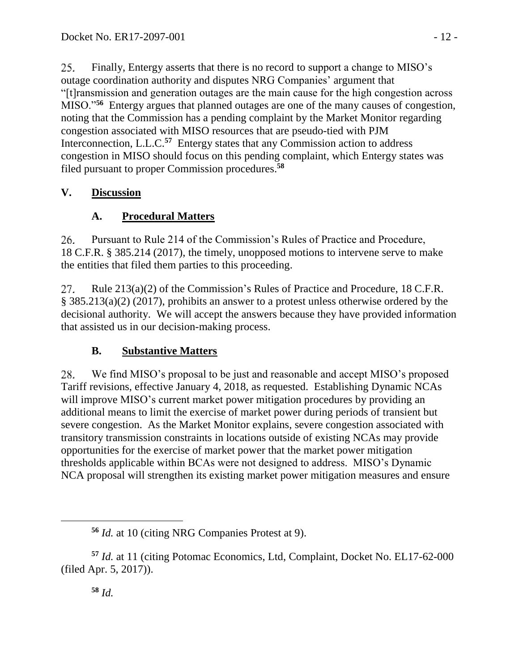25. Finally, Entergy asserts that there is no record to support a change to MISO's outage coordination authority and disputes NRG Companies' argument that "[t]ransmission and generation outages are the main cause for the high congestion across MISO."**<sup>56</sup>** Entergy argues that planned outages are one of the many causes of congestion, noting that the Commission has a pending complaint by the Market Monitor regarding congestion associated with MISO resources that are pseudo-tied with PJM Interconnection, L.L.C.<sup>57</sup> Entergy states that any Commission action to address congestion in MISO should focus on this pending complaint, which Entergy states was filed pursuant to proper Commission procedures. **58**

# **V. Discussion**

# **A. Procedural Matters**

26. Pursuant to Rule 214 of the Commission's Rules of Practice and Procedure, 18 C.F.R. § 385.214 (2017), the timely, unopposed motions to intervene serve to make the entities that filed them parties to this proceeding.

27. Rule 213(a)(2) of the Commission's Rules of Practice and Procedure, 18 C.F.R. § 385.213(a)(2) (2017), prohibits an answer to a protest unless otherwise ordered by the decisional authority. We will accept the answers because they have provided information that assisted us in our decision-making process.

# **B. Substantive Matters**

We find MISO's proposal to be just and reasonable and accept MISO's proposed 28. Tariff revisions, effective January 4, 2018, as requested. Establishing Dynamic NCAs will improve MISO's current market power mitigation procedures by providing an additional means to limit the exercise of market power during periods of transient but severe congestion. As the Market Monitor explains, severe congestion associated with transitory transmission constraints in locations outside of existing NCAs may provide opportunities for the exercise of market power that the market power mitigation thresholds applicable within BCAs were not designed to address. MISO's Dynamic NCA proposal will strengthen its existing market power mitigation measures and ensure

**<sup>56</sup>** *Id.* at 10 (citing NRG Companies Protest at 9).

**<sup>57</sup>** *Id.* at 11 (citing Potomac Economics, Ltd, Complaint, Docket No. EL17-62-000 (filed Apr. 5, 2017)).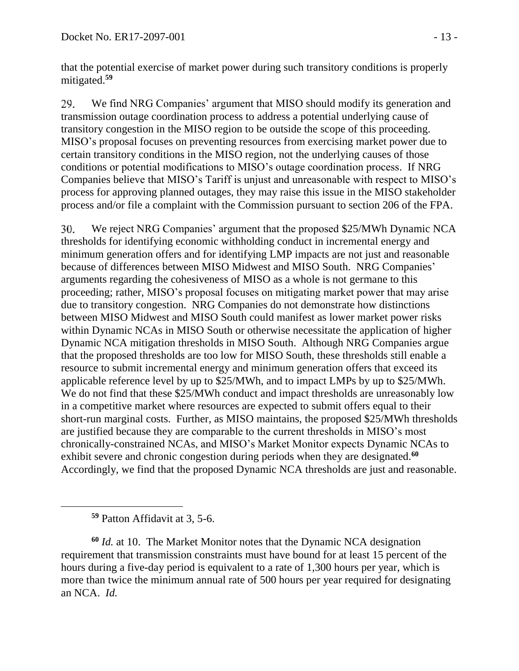that the potential exercise of market power during such transitory conditions is properly mitigated.**<sup>59</sup>**

We find NRG Companies' argument that MISO should modify its generation and 29. transmission outage coordination process to address a potential underlying cause of transitory congestion in the MISO region to be outside the scope of this proceeding. MISO's proposal focuses on preventing resources from exercising market power due to certain transitory conditions in the MISO region, not the underlying causes of those conditions or potential modifications to MISO's outage coordination process. If NRG Companies believe that MISO's Tariff is unjust and unreasonable with respect to MISO's process for approving planned outages, they may raise this issue in the MISO stakeholder process and/or file a complaint with the Commission pursuant to section 206 of the FPA.

We reject NRG Companies' argument that the proposed \$25/MWh Dynamic NCA 30. thresholds for identifying economic withholding conduct in incremental energy and minimum generation offers and for identifying LMP impacts are not just and reasonable because of differences between MISO Midwest and MISO South. NRG Companies' arguments regarding the cohesiveness of MISO as a whole is not germane to this proceeding; rather, MISO's proposal focuses on mitigating market power that may arise due to transitory congestion. NRG Companies do not demonstrate how distinctions between MISO Midwest and MISO South could manifest as lower market power risks within Dynamic NCAs in MISO South or otherwise necessitate the application of higher Dynamic NCA mitigation thresholds in MISO South. Although NRG Companies argue that the proposed thresholds are too low for MISO South, these thresholds still enable a resource to submit incremental energy and minimum generation offers that exceed its applicable reference level by up to \$25/MWh, and to impact LMPs by up to \$25/MWh. We do not find that these \$25/MWh conduct and impact thresholds are unreasonably low in a competitive market where resources are expected to submit offers equal to their short-run marginal costs. Further, as MISO maintains, the proposed \$25/MWh thresholds are justified because they are comparable to the current thresholds in MISO's most chronically-constrained NCAs, and MISO's Market Monitor expects Dynamic NCAs to exhibit severe and chronic congestion during periods when they are designated. **60** Accordingly, we find that the proposed Dynamic NCA thresholds are just and reasonable.

**<sup>59</sup>** Patton Affidavit at 3, 5-6.

 $\overline{a}$ 

**<sup>60</sup>** *Id.* at 10. The Market Monitor notes that the Dynamic NCA designation requirement that transmission constraints must have bound for at least 15 percent of the hours during a five-day period is equivalent to a rate of 1,300 hours per year, which is more than twice the minimum annual rate of 500 hours per year required for designating an NCA. *Id.*